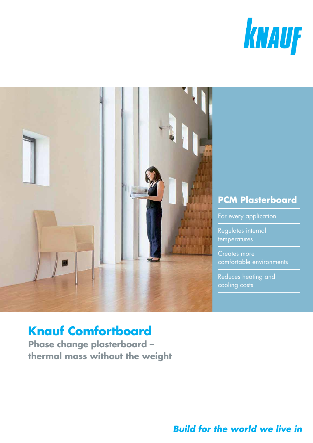



# **PCM Plasterboard**

For every application

Regulates internal temperatures

Creates more comfortable environments

Reduces heating and cooling costs

# **Knauf Comfortboard**

**Phase change plasterboard – thermal mass without the weight**

**Build for the world we live in**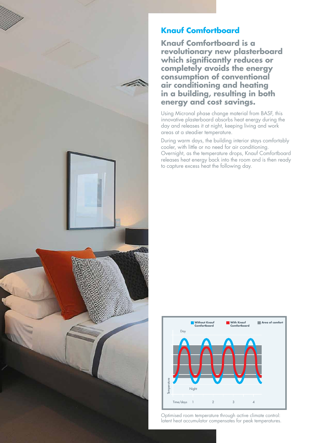

# **Knauf Comfortboard**

**Knauf Comfortboard is a revolutionary new plasterboard which significantly reduces or completely avoids the energy consumption of conventional air conditioning and heating in a building, resulting in both energy and cost savings.**

Using Micronal phase change material from BASF, this innovative plasterboard absorbs heat energy during the day and releases it at night, keeping living and work areas at a steadier temperature.

During warm days, the building interior stays comfortably cooler, with little or no need for air conditioning. Overnight, as the temperature drops, Knauf Comfortboard releases heat energy back into the room and is then ready to capture excess heat the following day.



Optimised room temperature through active climate control: latent heat accumulator compensates for peak temperatures.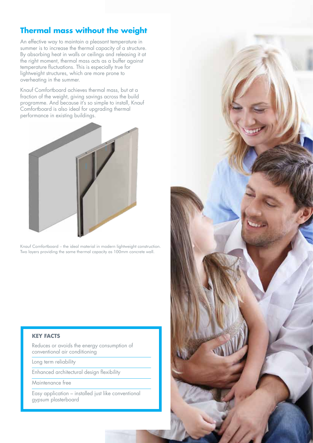## **Thermal mass without the weight**

An effective way to maintain a pleasant temperature in summer is to increase the thermal capacity of a structure. By absorbing heat in walls or ceilings and releasing it at the right moment, thermal mass acts as a buffer against temperature fluctuations. This is especially true for lightweight structures, which are more prone to overheating in the summer.

Knauf Comfortboard achieves thermal mass, but at a fraction of the weight, giving savings across the build programme. And because it's so simple to install, Knauf Comfortboard is also ideal for upgrading thermal performance in existing buildings.



Knauf Comfortboard – the ideal material in modern lightweight construction. Two layers providing the same thermal capacity as 100mm concrete wall.

### **KEY FACTS**

Reduces or avoids the energy consumption of conventional air conditioning

Long term reliability

Enhanced architectural design flexibility

Maintenance free

Easy application – installed just like conventional gypsum plasterboard

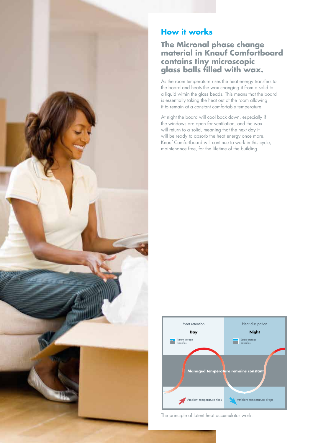

### **How it works**

### **The Micronal phase change material in Knauf Comfortboard contains tiny microscopic glass balls filled with wax.**

As the room temperature rises the heat energy transfers to the board and heats the wax changing it from a solid to a liquid within the glass beads. This means that the board is essentially taking the heat out of the room allowing it to remain at a constant comfortable temperature.

At night the board will cool back down, especially if the windows are open for ventilation, and the wax will return to a solid, meaning that the next day it will be ready to absorb the heat energy once more. Knauf Comfortboard will continue to work in this cycle, maintenance free, for the lifetime of the building.



The principle of latent heat accumulator work.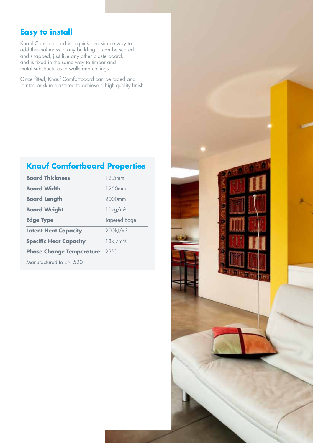# **Easy to install**

Knauf Comfortboard is a quick and simple way to add thermal mass to any building. It can be scored and snapped, just like any other plasterboard, and is fixed in the same way to timber and metal substructures in walls and ceilings.

Once fitted, Knauf Comfortboard can be taped and jointed or skim plastered to achieve a high-quality finish.

# **Knauf Comfortboard Properties**

| <b>Board Thickness</b>          | 12.5mm                   |
|---------------------------------|--------------------------|
| <b>Board Width</b>              | 1250mm                   |
| <b>Board Length</b>             | 2000mm                   |
| <b>Board Weight</b>             | $11\,\mathrm{kg/m^2}$    |
| <b>Edge Type</b>                | <b>Tapered Edge</b>      |
| <b>Latent Heat Capacity</b>     | 200kJ/m <sup>2</sup>     |
| <b>Specific Heat Capacity</b>   | $13k$ J/m <sup>2</sup> K |
| <b>Phase Change Temperature</b> | $23^{\circ}$ C           |
| A C LENEOO                      |                          |

Manufactured to EN 520

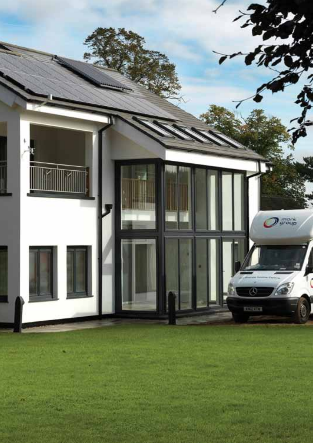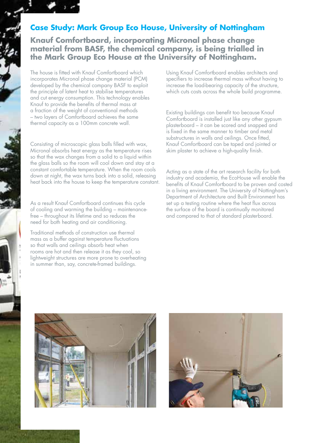### **Case Study: Mark Group Eco House, University of Nottingham**

### **Knauf Comfortboard, incorporating Micronal phase change material from BASF, the chemical company, is being trialled in the Mark Group Eco House at the University of Nottingham.**

The house is fitted with Knauf Comfortboard which incorporates Micronal phase change material (PCM) developed by the chemical company BASF to exploit the principle of latent heat to stabilise temperatures and cut energy consumption. This technology enables Knauf to provide the benefits of thermal mass at a fraction of the weight of conventional methods – two layers of Comfortboard achieves the same thermal capacity as a 100mm concrete wall.

Consisting of microscopic glass balls filled with wax, Micronal absorbs heat energy as the temperature rises so that the wax changes from a solid to a liquid within the glass balls so the room will cool down and stay at a constant comfortable temperature. When the room cools down at night, the wax turns back into a solid, releasing heat back into the house to keep the temperature constant.

As a result Knauf Comfortboard continues this cycle of cooling and warming the building – maintenancefree – throughout its lifetime and so reduces the need for both heating and air conditioning.

Traditional methods of construction use thermal mass as a buffer against temperature fluctuations so that walls and ceilings absorb heat when rooms are hot and then release it as they cool, so lightweight structures are more prone to overheating in summer than, say, concrete-framed buildings.

Using Knauf Comfortboard enables architects and specifiers to increase thermal mass without having to increase the load-bearing capacity of the structure, which cuts costs across the whole build programme.

Existing buildings can benefit too because Knauf Comfortboard is installed just like any other gypsum plasterboard – it can be scored and snapped and is fixed in the same manner to timber and metal substructures in walls and ceilings. Once fitted, Knauf Comfortboard can be taped and jointed or skim plaster to achieve a high-quality finish.

Acting as a state of the art research facility for both industry and academia, the EcoHouse will enable the benefits of Knauf Comfortboard to be proven and costed in a living environment. The University of Nottingham's Department of Architecture and Built Environment has set up a testing routine where the heat flux across the surface of the board is continually monitored and compared to that of standard plasterboard.